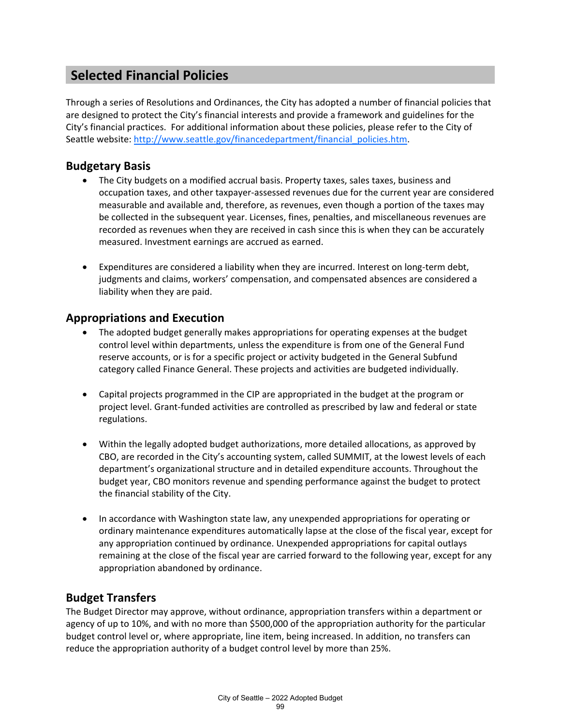# **Selected Financial Policies**

Through a series of Resolutions and Ordinances, the City has adopted a number of financial policies that are designed to protect the City's financial interests and provide a framework and guidelines for the City's financial practices. For additional information about these policies, please refer to the City of Seattle website: [http://www.seattle.gov/financedepartment/financial\\_policies.htm.](http://www.seattle.gov/financedepartment/financial_policies.htm)

#### **Budgetary Basis**

- The City budgets on a modified accrual basis. Property taxes, sales taxes, business and occupation taxes, and other taxpayer-assessed revenues due for the current year are considered measurable and available and, therefore, as revenues, even though a portion of the taxes may be collected in the subsequent year. Licenses, fines, penalties, and miscellaneous revenues are recorded as revenues when they are received in cash since this is when they can be accurately measured. Investment earnings are accrued as earned.
- Expenditures are considered a liability when they are incurred. Interest on long-term debt, judgments and claims, workers' compensation, and compensated absences are considered a liability when they are paid.

#### **Appropriations and Execution**

- The adopted budget generally makes appropriations for operating expenses at the budget control level within departments, unless the expenditure is from one of the General Fund reserve accounts, or is for a specific project or activity budgeted in the General Subfund category called Finance General. These projects and activities are budgeted individually.
- Capital projects programmed in the CIP are appropriated in the budget at the program or project level. Grant-funded activities are controlled as prescribed by law and federal or state regulations.
- Within the legally adopted budget authorizations, more detailed allocations, as approved by CBO, are recorded in the City's accounting system, called SUMMIT, at the lowest levels of each department's organizational structure and in detailed expenditure accounts. Throughout the budget year, CBO monitors revenue and spending performance against the budget to protect the financial stability of the City.
- In accordance with Washington state law, any unexpended appropriations for operating or ordinary maintenance expenditures automatically lapse at the close of the fiscal year, except for any appropriation continued by ordinance. Unexpended appropriations for capital outlays remaining at the close of the fiscal year are carried forward to the following year, except for any appropriation abandoned by ordinance.

#### **Budget Transfers**

The Budget Director may approve, without ordinance, appropriation transfers within a department or agency of up to 10%, and with no more than \$500,000 of the appropriation authority for the particular budget control level or, where appropriate, line item, being increased. In addition, no transfers can reduce the appropriation authority of a budget control level by more than 25%.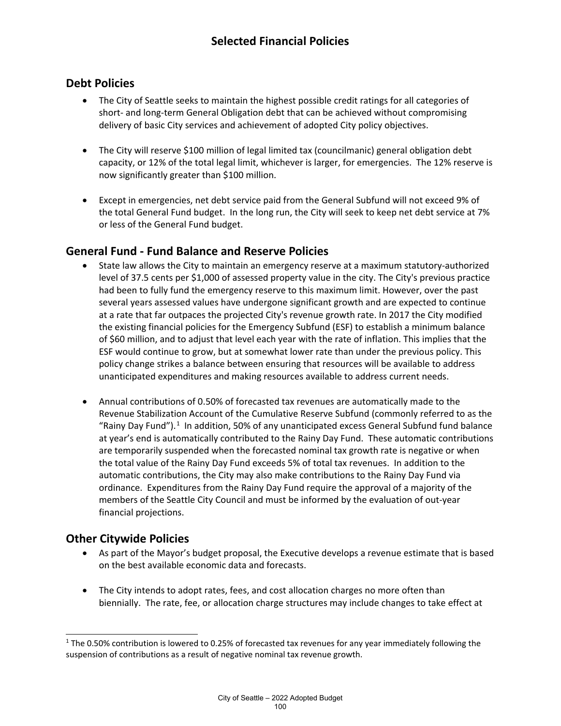### **Debt Policies**

- The City of Seattle seeks to maintain the highest possible credit ratings for all categories of short- and long-term General Obligation debt that can be achieved without compromising delivery of basic City services and achievement of adopted City policy objectives.
- The City will reserve \$100 million of legal limited tax (councilmanic) general obligation debt capacity, or 12% of the total legal limit, whichever is larger, for emergencies. The 12% reserve is now significantly greater than \$100 million.
- Except in emergencies, net debt service paid from the General Subfund will not exceed 9% of the total General Fund budget. In the long run, the City will seek to keep net debt service at 7% or less of the General Fund budget.

#### **General Fund - Fund Balance and Reserve Policies**

- State law allows the City to maintain an emergency reserve at a maximum statutory-authorized level of 37.5 cents per \$1,000 of assessed property value in the city. The City's previous practice had been to fully fund the emergency reserve to this maximum limit. However, over the past several years assessed values have undergone significant growth and are expected to continue at a rate that far outpaces the projected City's revenue growth rate. In 2017 the City modified the existing financial policies for the Emergency Subfund (ESF) to establish a minimum balance of \$60 million, and to adjust that level each year with the rate of inflation. This implies that the ESF would continue to grow, but at somewhat lower rate than under the previous policy. This policy change strikes a balance between ensuring that resources will be available to address unanticipated expenditures and making resources available to address current needs.
- Annual contributions of 0.50% of forecasted tax revenues are automatically made to the Revenue Stabilization Account of the Cumulative Reserve Subfund (commonly referred to as the "Rainy Day Fund").<sup>[1](#page-1-0)</sup> In addition, 50% of any unanticipated excess General Subfund fund balance at year's end is automatically contributed to the Rainy Day Fund. These automatic contributions are temporarily suspended when the forecasted nominal tax growth rate is negative or when the total value of the Rainy Day Fund exceeds 5% of total tax revenues. In addition to the automatic contributions, the City may also make contributions to the Rainy Day Fund via ordinance. Expenditures from the Rainy Day Fund require the approval of a majority of the members of the Seattle City Council and must be informed by the evaluation of out-year financial projections.

#### **Other Citywide Policies**

- As part of the Mayor's budget proposal, the Executive develops a revenue estimate that is based on the best available economic data and forecasts.
- The City intends to adopt rates, fees, and cost allocation charges no more often than biennially. The rate, fee, or allocation charge structures may include changes to take effect at

<span id="page-1-0"></span> $1$  The 0.50% contribution is lowered to 0.25% of forecasted tax revenues for any year immediately following the suspension of contributions as a result of negative nominal tax revenue growth.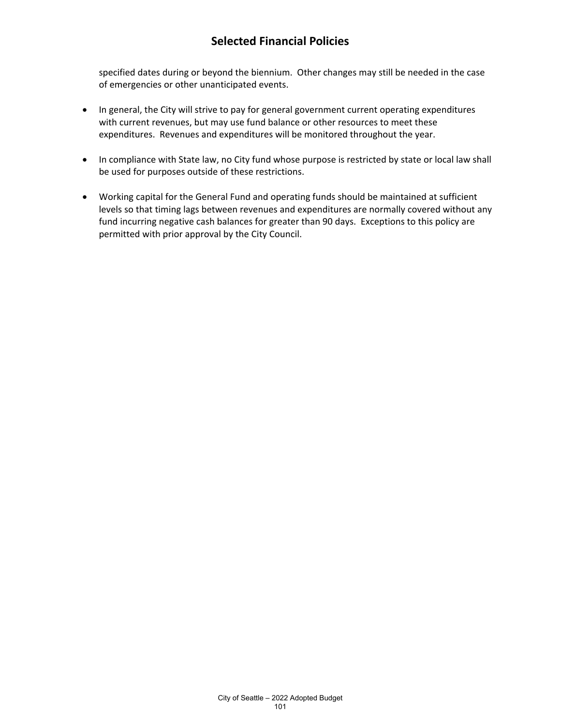## **Selected Financial Policies**

specified dates during or beyond the biennium. Other changes may still be needed in the case of emergencies or other unanticipated events.

- In general, the City will strive to pay for general government current operating expenditures with current revenues, but may use fund balance or other resources to meet these expenditures. Revenues and expenditures will be monitored throughout the year.
- In compliance with State law, no City fund whose purpose is restricted by state or local law shall be used for purposes outside of these restrictions.
- Working capital for the General Fund and operating funds should be maintained at sufficient levels so that timing lags between revenues and expenditures are normally covered without any fund incurring negative cash balances for greater than 90 days. Exceptions to this policy are permitted with prior approval by the City Council.